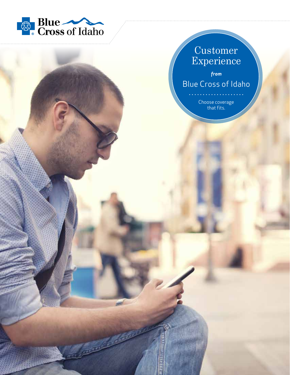

### Customer Experience

*from* Blue Cross of Idaho

> Choose coverage that fits.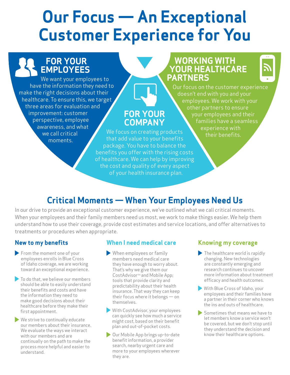# **Our Focus — An Exceptional Customer Experience for You**

### **FOR YOUR EMPLOYEES**

that add value to your benefits package. You have to balance the We want your employees to have the information they need to make the right decisions about their healthcare. To ensure this, we target three areas for evaluation and improvement: customer perspective, employee awareness, and what we call critical moments.

### **WORKING WITH YOUR HEALTHCARE PARTNERS**



Our focus on the customer experience doesn't end with you and your employees. We work with your other partners to ensure your employees and their families have a seamless experience with their benefits. We focus on creating products

### **Critical Moments — When Your Employees Need Us**

**FOR YOUR COMPANY**

benefits you offer with the rising costs of healthcare. We can help by improving the cost and quality of every aspect of your health insurance plan.

In our drive to provide an exceptional customer experience, we've outlined what we call critical moments. When your employees and their family members need us most, we work to make things easier. We help them understand how to use their coverage, provide cost estimates and service locations, and offer alternatives to treatments or procedures when appropriate.

### **New to my benefits**

- From the moment one of your employees enrolls in Blue Cross of Idaho coverage, we are working toward an exceptional experience.
- To do that, we believe our members should be able to easily understand their benefits and costs and have the information they need to make good decisions about their healthcare before they make their first appointment.
- We strive to continually educate our members about their insurance. We evaluate the ways we interact with our members and are continually on the path to make the process more helpful and easier to understand.

#### **When I need medical care**

- When employees or family members need medical care they have enough to worry about. That's why we give them our CostAdvisor<sup>™</sup> and Mobile App; tools that provide clarity and predictability about their health insurance. That way they can keep their focus where it belongs — on themselves.
- With CostAdvisor, your employees can quickly see how much a service might cost, based on their benefit plan and out-of-pocket costs.
- **Our Mobile App brings up-to-date** benefit information, a provider search, nearby urgent care and more to your employees wherever they are.

#### **Knowing my coverage**

- $\blacktriangleright$  The healthcare world is rapidly changing. New technologies are constantly emerging and research continues to uncover more information about treatment efficacy and health outcomes.
- With Blue Cross of Idaho, your employees and their families have a partner in their corner who knows the ins and outs of healthcare.
- Sometimes that means we have to let members know a service won't be covered, but we don't stop until they understand the decision and know their healthcare options.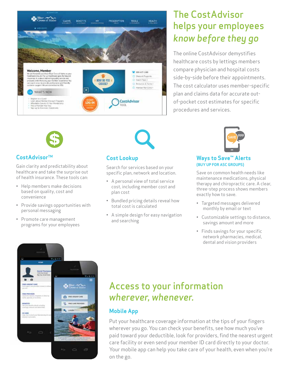

# The CostAdvisor helps your employees *know before they go*

The online CostAdvisor demystifies healthcare costs by lettings members compare physician and hospital costs side-by-side before their appointments. The cost calculator uses member-specific plan and claims data for accurate outof-pocket cost estimates for specific procedures and services.



### **CostAdvisorTM**

Gain clarity and predictability about healthcare and take the surprise out of health insurance. These tools can:

- Help members make decisions based on quality, cost and convenience
- Provide savings opportunities with personal messaging
- Promote care management programs for your employees



### **Cost Lookup**

Search for services based on your specific plan, network and location.

- A personal view of total service cost, including member cost and plan cost
- Bundled pricing details reveal how total cost is calculated
- A simple design for easy navigation and searching



#### **Ways to Save™ Alerts (BUY UP FOR ASC GROUPS)**

Save on common health needs like maintenance medications, physical therapy and chiropractic care. A clear, three-step process shows members exactly how to save.

- Targeted messages delivered monthly by email or text
- Customizable settings to distance, savings amount and more
- Finds savings for your specific network pharmacies, medical, dental and vision providers



# Access to your information *wherever, whenever.*

### **Mobile App**

Put your healthcare coverage information at the tips of your fingers wherever you go. You can check your benefits, see how much you've paid toward your deductible, look for providers, find the nearest urgent care facility or even send your member ID card directly to your doctor. Your mobile app can help you take care of your health, even when you're on the go.